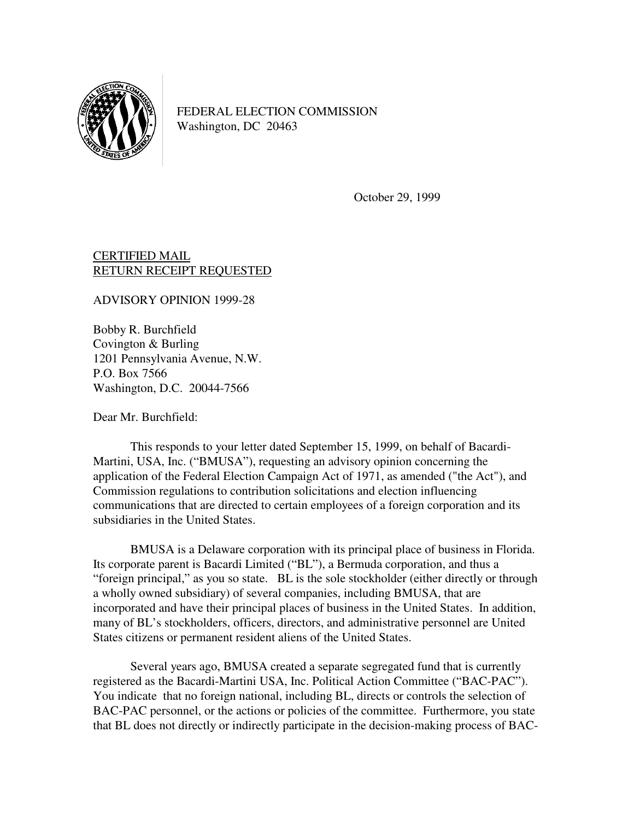

FEDERAL ELECTION COMMISSION Washington, DC 20463

October 29, 1999

## CERTIFIED MAIL RETURN RECEIPT REQUESTED

ADVISORY OPINION 1999-28

Bobby R. Burchfield Covington & Burling 1201 Pennsylvania Avenue, N.W. P.O. Box 7566 Washington, D.C. 20044-7566

Dear Mr. Burchfield:

 This responds to your letter dated September 15, 1999, on behalf of Bacardi-Martini, USA, Inc. ("BMUSA"), requesting an advisory opinion concerning the application of the Federal Election Campaign Act of 1971, as amended ("the Act"), and Commission regulations to contribution solicitations and election influencing communications that are directed to certain employees of a foreign corporation and its subsidiaries in the United States.

 BMUSA is a Delaware corporation with its principal place of business in Florida. Its corporate parent is Bacardi Limited ("BL"), a Bermuda corporation, and thus a "foreign principal," as you so state. BL is the sole stockholder (either directly or through a wholly owned subsidiary) of several companies, including BMUSA, that are incorporated and have their principal places of business in the United States. In addition, many of BL's stockholders, officers, directors, and administrative personnel are United States citizens or permanent resident aliens of the United States.

Several years ago, BMUSA created a separate segregated fund that is currently registered as the Bacardi-Martini USA, Inc. Political Action Committee ("BAC-PAC"). You indicate that no foreign national, including BL, directs or controls the selection of BAC-PAC personnel, or the actions or policies of the committee. Furthermore, you state that BL does not directly or indirectly participate in the decision-making process of BAC-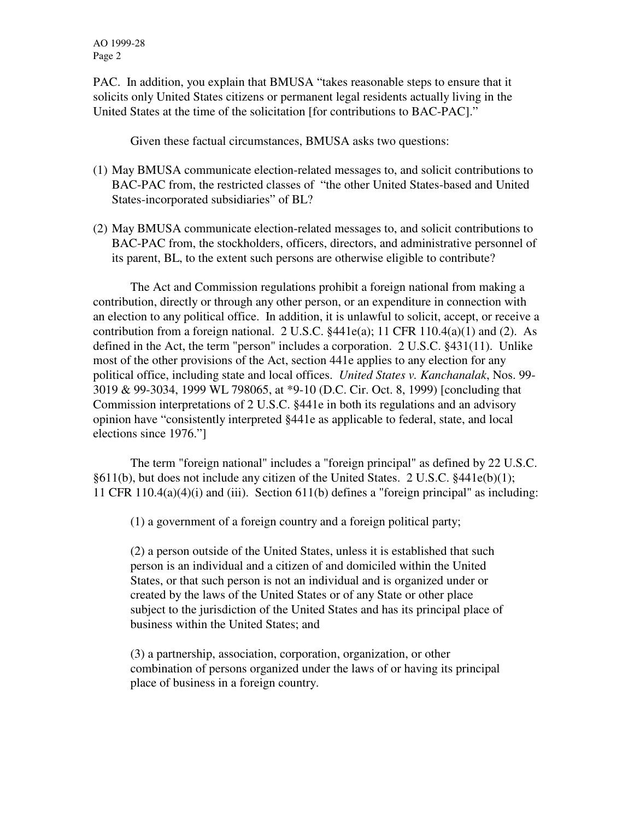AO 1999-28 Page 2

PAC. In addition, you explain that BMUSA "takes reasonable steps to ensure that it solicits only United States citizens or permanent legal residents actually living in the United States at the time of the solicitation [for contributions to BAC-PAC]."

Given these factual circumstances, BMUSA asks two questions:

- (1) May BMUSA communicate election-related messages to, and solicit contributions to BAC-PAC from, the restricted classes of "the other United States-based and United States-incorporated subsidiaries" of BL?
- (2) May BMUSA communicate election-related messages to, and solicit contributions to BAC-PAC from, the stockholders, officers, directors, and administrative personnel of its parent, BL, to the extent such persons are otherwise eligible to contribute?

 The Act and Commission regulations prohibit a foreign national from making a contribution, directly or through any other person, or an expenditure in connection with an election to any political office. In addition, it is unlawful to solicit, accept, or receive a contribution from a foreign national. 2 U.S.C.  $§441e(a); 11 \text{ CFR } 110.4(a)(1)$  and (2). As defined in the Act, the term "person" includes a corporation. 2 U.S.C. §431(11). Unlike most of the other provisions of the Act, section 441e applies to any election for any political office, including state and local offices. *United States v. Kanchanalak*, Nos. 99- 3019 & 99-3034, 1999 WL 798065, at \*9-10 (D.C. Cir. Oct. 8, 1999) [concluding that Commission interpretations of 2 U.S.C. §441e in both its regulations and an advisory opinion have "consistently interpreted §441e as applicable to federal, state, and local elections since 1976."]

 The term "foreign national" includes a "foreign principal" as defined by 22 U.S.C. §611(b), but does not include any citizen of the United States. 2 U.S.C. §441e(b)(1); 11 CFR 110.4(a)(4)(i) and (iii). Section 611(b) defines a "foreign principal" as including:

(1) a government of a foreign country and a foreign political party;

(2) a person outside of the United States, unless it is established that such person is an individual and a citizen of and domiciled within the United States, or that such person is not an individual and is organized under or created by the laws of the United States or of any State or other place subject to the jurisdiction of the United States and has its principal place of business within the United States; and

(3) a partnership, association, corporation, organization, or other combination of persons organized under the laws of or having its principal place of business in a foreign country.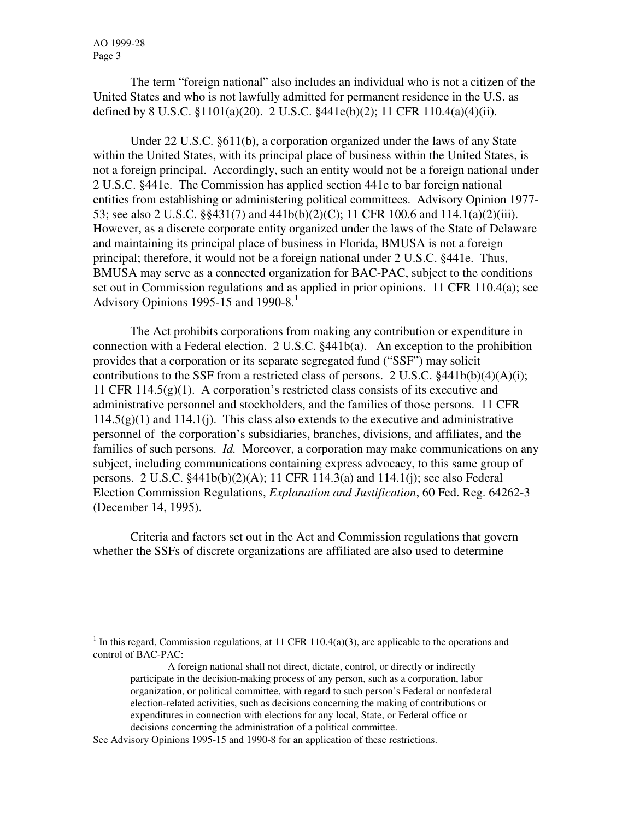The term "foreign national" also includes an individual who is not a citizen of the United States and who is not lawfully admitted for permanent residence in the U.S. as defined by 8 U.S.C. §1101(a)(20). 2 U.S.C. §441e(b)(2); 11 CFR 110.4(a)(4)(ii).

 Under 22 U.S.C. §611(b), a corporation organized under the laws of any State within the United States, with its principal place of business within the United States, is not a foreign principal. Accordingly, such an entity would not be a foreign national under 2 U.S.C. §441e. The Commission has applied section 441e to bar foreign national entities from establishing or administering political committees. Advisory Opinion 1977- 53; see also 2 U.S.C. §§431(7) and 441b(b)(2)(C); 11 CFR 100.6 and 114.1(a)(2)(iii). However, as a discrete corporate entity organized under the laws of the State of Delaware and maintaining its principal place of business in Florida, BMUSA is not a foreign principal; therefore, it would not be a foreign national under 2 U.S.C. §441e. Thus, BMUSA may serve as a connected organization for BAC-PAC, subject to the conditions set out in Commission regulations and as applied in prior opinions. 11 CFR 110.4(a); see Advisory Opinions 1995-15 and 1990-8. $<sup>1</sup>$ </sup>

 The Act prohibits corporations from making any contribution or expenditure in connection with a Federal election. 2 U.S.C. §441b(a). An exception to the prohibition provides that a corporation or its separate segregated fund ("SSF") may solicit contributions to the SSF from a restricted class of persons. 2 U.S.C.  $\frac{2441b(b)(4)(A)(i)}{i}$ ; 11 CFR 114.5(g)(1). A corporation's restricted class consists of its executive and administrative personnel and stockholders, and the families of those persons. 11 CFR  $114.5(g)(1)$  and  $114.1(j)$ . This class also extends to the executive and administrative personnel of the corporation's subsidiaries, branches, divisions, and affiliates, and the families of such persons. *Id.* Moreover, a corporation may make communications on any subject, including communications containing express advocacy, to this same group of persons. 2 U.S.C. §441b(b)(2)(A); 11 CFR 114.3(a) and 114.1(j); see also Federal Election Commission Regulations, *Explanation and Justification*, 60 Fed. Reg. 64262-3 (December 14, 1995).

 Criteria and factors set out in the Act and Commission regulations that govern whether the SSFs of discrete organizations are affiliated are also used to determine

j <sup>1</sup> In this regard, Commission regulations, at 11 CFR 110.4(a)(3), are applicable to the operations and control of BAC-PAC:

A foreign national shall not direct, dictate, control, or directly or indirectly participate in the decision-making process of any person, such as a corporation, labor organization, or political committee, with regard to such person's Federal or nonfederal election-related activities, such as decisions concerning the making of contributions or expenditures in connection with elections for any local, State, or Federal office or decisions concerning the administration of a political committee.

See Advisory Opinions 1995-15 and 1990-8 for an application of these restrictions.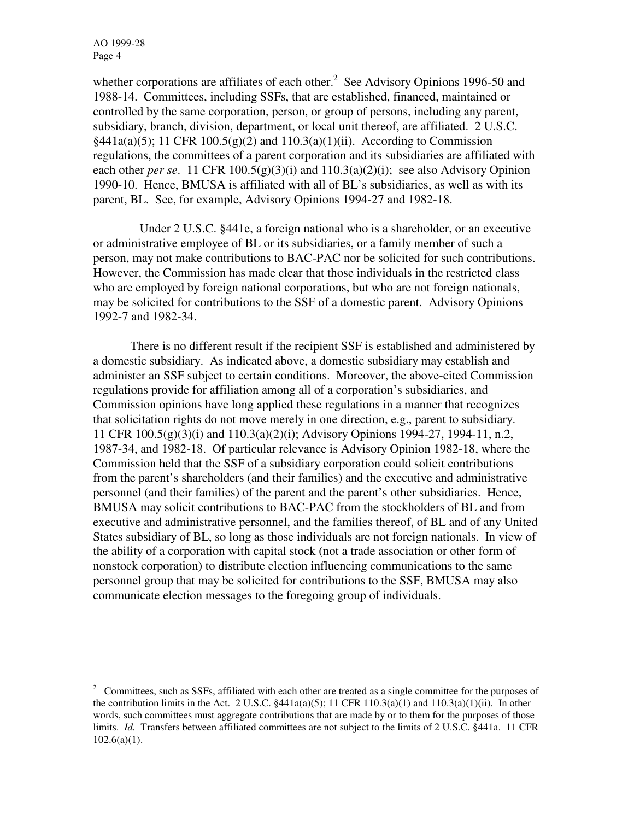whether corporations are affiliates of each other. $2$  See Advisory Opinions 1996-50 and 1988-14. Committees, including SSFs, that are established, financed, maintained or controlled by the same corporation, person, or group of persons, including any parent, subsidiary, branch, division, department, or local unit thereof, are affiliated. 2 U.S.C.  $§441a(a)(5); 11 \text{ CFR } 100.5(g)(2)$  and  $110.3(a)(1)(ii)$ . According to Commission regulations, the committees of a parent corporation and its subsidiaries are affiliated with each other *per se*. 11 CFR 100.5(g)(3)(i) and 110.3(a)(2)(i); see also Advisory Opinion 1990-10. Hence, BMUSA is affiliated with all of BL's subsidiaries, as well as with its parent, BL. See, for example, Advisory Opinions 1994-27 and 1982-18.

 Under 2 U.S.C. §441e, a foreign national who is a shareholder, or an executive or administrative employee of BL or its subsidiaries, or a family member of such a person, may not make contributions to BAC-PAC nor be solicited for such contributions. However, the Commission has made clear that those individuals in the restricted class who are employed by foreign national corporations, but who are not foreign nationals, may be solicited for contributions to the SSF of a domestic parent. Advisory Opinions 1992-7 and 1982-34.

 There is no different result if the recipient SSF is established and administered by a domestic subsidiary. As indicated above, a domestic subsidiary may establish and administer an SSF subject to certain conditions. Moreover, the above-cited Commission regulations provide for affiliation among all of a corporation's subsidiaries, and Commission opinions have long applied these regulations in a manner that recognizes that solicitation rights do not move merely in one direction, e.g., parent to subsidiary. 11 CFR 100.5(g)(3)(i) and 110.3(a)(2)(i); Advisory Opinions 1994-27, 1994-11, n.2, 1987-34, and 1982-18. Of particular relevance is Advisory Opinion 1982-18, where the Commission held that the SSF of a subsidiary corporation could solicit contributions from the parent's shareholders (and their families) and the executive and administrative personnel (and their families) of the parent and the parent's other subsidiaries. Hence, BMUSA may solicit contributions to BAC-PAC from the stockholders of BL and from executive and administrative personnel, and the families thereof, of BL and of any United States subsidiary of BL, so long as those individuals are not foreign nationals. In view of the ability of a corporation with capital stock (not a trade association or other form of nonstock corporation) to distribute election influencing communications to the same personnel group that may be solicited for contributions to the SSF, BMUSA may also communicate election messages to the foregoing group of individuals.

<sup>&</sup>lt;sup>2</sup> Committees, such as SSFs, affiliated with each other are treated as a single committee for the purposes of the contribution limits in the Act. 2 U.S.C.  $\S 441a(a)(5)$ ; 11 CFR 110.3(a)(1) and 110.3(a)(1)(ii). In other words, such committees must aggregate contributions that are made by or to them for the purposes of those limits. *Id.* Transfers between affiliated committees are not subject to the limits of 2 U.S.C. §441a. 11 CFR  $102.6(a)(1)$ .